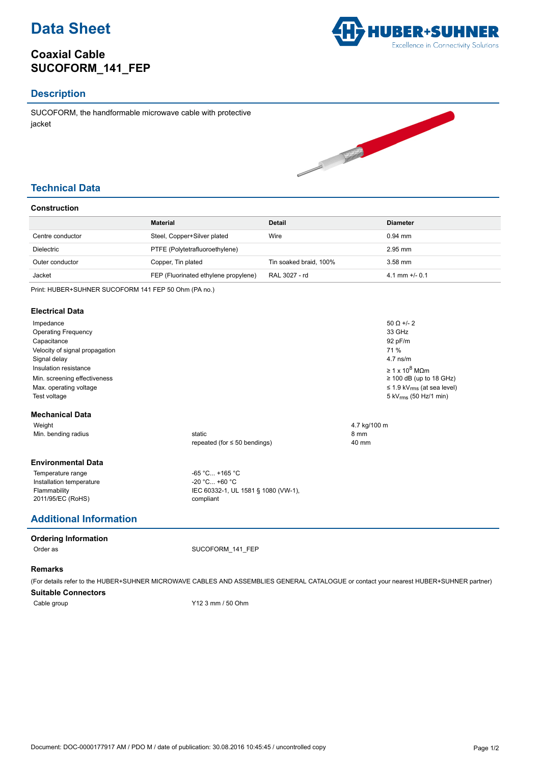

# **Coaxial Cable SUCOFORM\_141\_FEP**



## **Description**

SUCOFORM, the handformable microwave cable with protective jacket



## **Technical Data**

### **Construction**

|                  | <b>Material</b>                      | <b>Detail</b>          | <b>Diameter</b>  |
|------------------|--------------------------------------|------------------------|------------------|
| Centre conductor | Steel, Copper+Silver plated          | Wire                   | $0.94$ mm        |
| Dielectric       | PTFE (Polytetrafluoroethylene)       |                        | $2.95$ mm        |
| Outer conductor  | Copper, Tin plated                   | Tin soaked braid, 100% | $3.58$ mm        |
| Jacket           | FEP (Fluorinated ethylene propylene) | RAL 3027 - rd          | 4.1 mm $+/-$ 0.1 |

Print: HUBER+SUHNER SUCOFORM 141 FEP 50 Ohm (PA no.)

#### **Electrical Data**

| Impedance                      | $50 \Omega +12$                     |                                             |  |
|--------------------------------|-------------------------------------|---------------------------------------------|--|
| <b>Operating Frequency</b>     |                                     | 33 GHz                                      |  |
| Capacitance                    | 92 pF/m                             |                                             |  |
| Velocity of signal propagation | 71 %                                |                                             |  |
| Signal delay                   | $4.7$ ns/m                          |                                             |  |
| Insulation resistance          | $\geq 1 \times 10^8$ MOm            |                                             |  |
| Min. screening effectiveness   |                                     | $\geq$ 100 dB (up to 18 GHz)                |  |
| Max. operating voltage         |                                     | $\leq$ 1.9 kV <sub>rms</sub> (at sea level) |  |
| Test voltage                   |                                     | 5 kV <sub>rms</sub> (50 Hz/1 min)           |  |
| <b>Mechanical Data</b>         |                                     |                                             |  |
| Weight                         |                                     | 4.7 kg/100 m                                |  |
| Min. bending radius            | static                              | 8 mm                                        |  |
|                                | repeated (for $\leq 50$ bendings)   | 40 mm                                       |  |
| <b>Environmental Data</b>      |                                     |                                             |  |
| Temperature range              | $-65 °C +165 °C$                    |                                             |  |
| Installation temperature       | $-20$ °C +60 °C                     |                                             |  |
| Flammability                   | IEC 60332-1, UL 1581 § 1080 (VW-1), |                                             |  |
| 2011/95/EC (RoHS)              | compliant                           |                                             |  |

# **Additional Information**

#### **Ordering Information**

Order as SUCOFORM\_141\_FEP

### **Remarks**

(For details refer to the HUBER+SUHNER MICROWAVE CABLES AND ASSEMBLIES GENERAL CATALOGUE or contact your nearest HUBER+SUHNER partner)

#### **Suitable Connectors**

Cable group Cable 3 mm / 50 Ohm